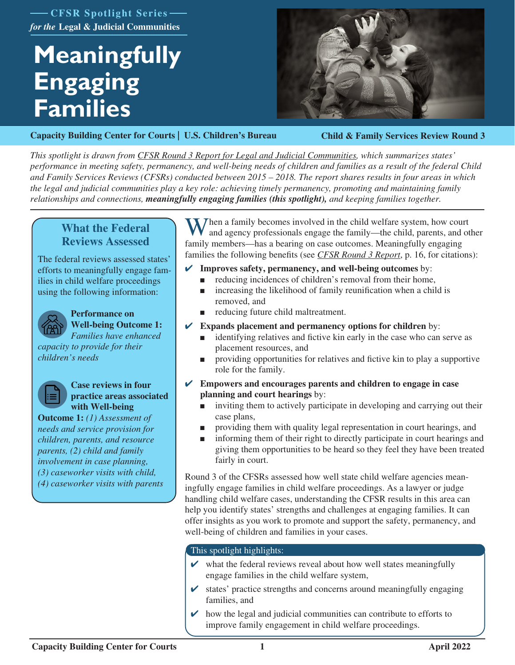**CFSR Spotlight Series** *for the* **Legal & Judicial Communities**

# **Meaningfully Engaging Families**



**[Capacity Building Center for Courts | U.S. Children's Bureau](https://capacity.childwelfare.gov/courts/)**

**Child & Family Services Review Round 3**

*This spotlight is drawn from [CFSR Round 3 Report for Legal and Judicial Communities,](https://www.cfsrportal.acf.hhs.gov/announcements/cfsr-round-3-report-legal-and-judicial-communities) which summarizes states' performance in meeting safety, permanency, and well-being needs of children and families as a result of the federal Child and Family Services Reviews (CFSRs) conducted between 2015 – 2018. The report shares results in four areas in which the legal and judicial communities play a key role: achieving timely permanency, promoting and maintaining family relationships and connections, meaningfully engaging families (this spotlight), and keeping families together.*

# **What the Federal Reviews Assessed**

The federal reviews assessed states' efforts to meaningfully engage families in child welfare proceedings using the following information:



### **Performance on Well-being Outcome 1:**  *Families have enhanced*

*capacity to provide for their children's needs*



### **Case reviews in four practice areas associated with Well-being**

**Outcome 1:** *(1) Assessment of needs and service provision for children, parents, and resource parents, (2) child and family involvement in case planning, (3) caseworker visits with child, (4) caseworker visits with parents* 

Then a family becomes involved in the child welfare system, how court and agency professionals engage the family—the child, parents, and other family members—has a bearing on case outcomes. Meaningfully engaging families the followin[g benefits](file:https://www.cfsrportal.acf.hhs.gov/announcements/cfsr-round-3-report-legal-and-judicial-communities) (see *[CFSR Round 3 Report](https://www.cfsrportal.acf.hhs.gov/announcements/cfsr-round-3-report-legal-and-judicial-communities)*, p. 16, for citations):

- ✔ **Improves safety, permanency, and well-being outcomes** by:
	- reducing incidences of children's removal from their home,
	- increasing the likelihood of family reunification when a child is removed, and
	- reducing future child maltreatment.
- **Expands placement and permanency options for children** by:
	- identifying relatives and fictive kin early in the case who can serve as placement resources, and
	- providing opportunities for relatives and fictive kin to play a supportive role for the family.
- ✔ **Empowers and encourages parents and children to engage in case planning and court hearings** by:
	- inviting them to actively participate in developing and carrying out their case plans,
	- providing them with quality legal representation in court hearings, and
	- informing them of their right to directly participate in court hearings and giving them opportunities to be heard so they feel they have been treated fairly in court.

Round 3 of the CFSRs assessed how well state child welfare agencies meaningfully engage families in child welfare proceedings. As a lawyer or judge handling child welfare cases, understanding the CFSR results in this area can help you identify states' strengths and challenges at engaging families. It can offer insights as you work to promote and support the safety, permanency, and well-being of children and families in your cases.

# This spotlight highlights:

- $\triangleright$  what the federal reviews reveal about how well states meaningfully engage families in the child welfare system,
- $\triangleright$  states' practice strengths and concerns around meaningfully engaging families, and
- how the legal and judicial communities can contribute to efforts to improve family engagement in child welfare proceedings.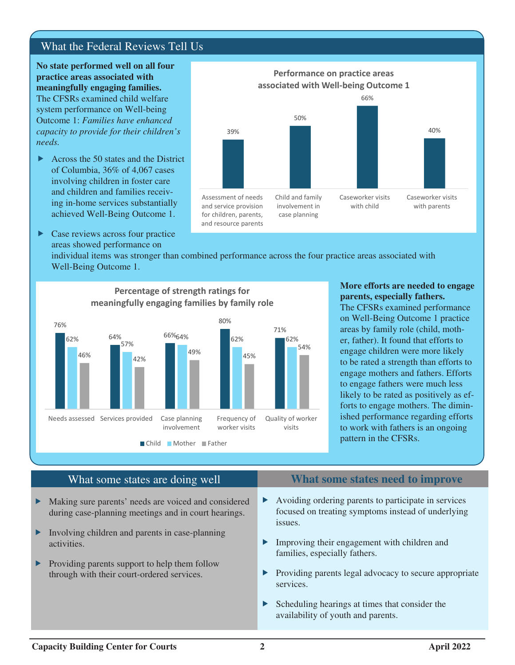# What the Federal Reviews Tell Us

**No state performed well on all four practice areas associated with meaningfully engaging families.**  The CFSRs examined child welfare system performance on Well-being Outcome 1: *Families have enhanced capacity to provide for their children's needs.*

- $\triangleright$  Across the 50 states and the District of Columbia, 36% of 4,067 cases involving children in foster care and children and families receiving in-home services substantially achieved Well-Being Outcome 1.
- $\triangleright$  Case reviews across four practice areas showed performance on



individual items was stronger than combined performance across the four practice areas associated with Well-Being Outcome 1.



# **Percentage of strength ratings for meaningfully engaging families by family role**

### **More efforts are needed to engage parents, especially fathers.**

The CFSRs examined performance on Well-Being Outcome 1 practice areas by family role (child, mother, father). It found that efforts to engage children were more likely to be rated a strength than efforts to engage mothers and fathers. Efforts to engage fathers were much less likely to be rated as positively as efforts to engage mothers. The diminished performance regarding efforts to work with fathers is an ongoing pattern in the CFSRs.

- $\blacktriangleright$  Making sure parents' needs are voiced and considered during case-planning meetings and in court hearings.
- $\blacktriangleright$  Involving children and parents in case-planning activities.
- $\blacktriangleright$  Providing parents support to help them follow through with their court-ordered services.

# What some states are doing well **What some states need to improve**

- $\blacktriangleright$  Avoiding ordering parents to participate in services focused on treating symptoms instead of underlying issues.
- $\blacktriangleright$  Improving their engagement with children and families, especially fathers.
- $\blacktriangleright$  Providing parents legal advocacy to secure appropriate services.
- $\blacktriangleright$  Scheduling hearings at times that consider the availability of youth and parents.